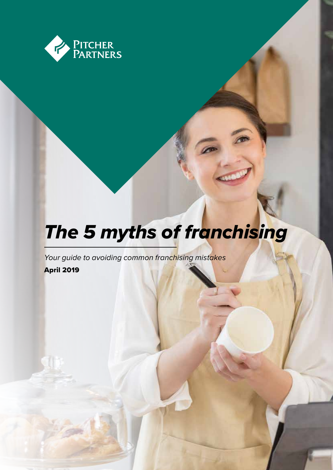

# *The 5 myths of franchising*

*Your guide to avoiding common franchising mistakes*

April 2019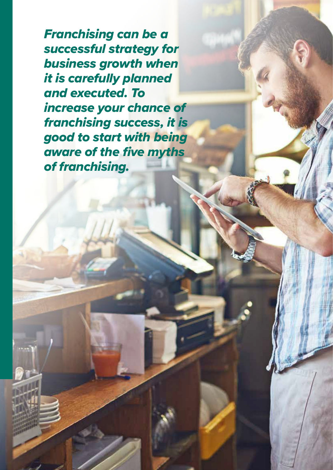*Franchising can be a successful strategy for business growth when it is carefully planned and executed. To increase your chance of franchising success, it is good to start with being aware of the five myths of franchising.*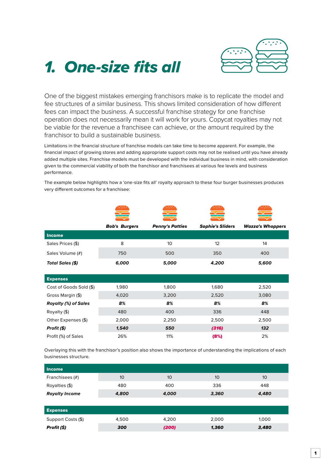

# *1. One-size fits all*

One of the biggest mistakes emerging franchisors make is to replicate the model and fee structures of a similar business. This shows limited consideration of how different fees can impact the business. A successful franchise strategy for one franchise operation does not necessarily mean it will work for yours. Copycat royalties may not be viable for the revenue a franchisee can achieve, or the amount required by the franchisor to build a sustainable business.

Limitations in the financial structure of franchise models can take time to become apparent. For example, the financial impact of growing stores and adding appropriate support costs may not be realised until you have already added multiple sites. Franchise models must be developed with the individual business in mind, with consideration given to the commercial viability of both the franchisor and franchisees at various fee levels and business performance.

|                             | <b>Bob's Burgers</b> | <b>Penny's Patties</b> | <b>Sophie's Sliders</b> | <b>Wazza's Whoppers</b> |
|-----------------------------|----------------------|------------------------|-------------------------|-------------------------|
| <b>Income</b>               |                      |                        |                         |                         |
| Sales Prices (\$)           | 8                    | 10                     | 12                      | 14                      |
| Sales Volume (#)            | 750                  | 500                    | 350                     | 400                     |
| Total Sales (\$)            | 6,000                | 5,000                  | 4,200                   | 5,600                   |
|                             |                      |                        |                         |                         |
| <b>Expenses</b>             |                      |                        |                         |                         |
| Cost of Goods Sold (\$)     | 1,980                | 1,800                  | 1,680                   | 2,520                   |
| Gross Margin (\$)           | 4,020                | 3,200                  | 2,520                   | 3,080                   |
| <b>Royalty (%) of Sales</b> | 8%                   | 8%                     | 8%                      | 8%                      |
| Royalty (\$)                | 480                  | 400                    | 336                     | 448                     |
| Other Expenses (\$)         | 2,000                | 2,250                  | 2,500                   | 2,500                   |
| Profit (\$)                 | 1,540                | 550                    | (316)                   | 132                     |
| Profit (%) of Sales         | 26%                  | 11%                    | (8%)                    | 2%                      |

The example below highlights how a 'one-size fits all' royalty approach to these four burger businesses produces very different outcomes for a franchisee:

Overlaying this with the franchisor's position also shows the importance of understanding the implications of each businesses structure.

| <b>Income</b>         |       |       |       |       |
|-----------------------|-------|-------|-------|-------|
| Franchisees (#)       | 10    | 10    | 10    | 10    |
| Royalties (\$)        | 480   | 400   | 336   | 448   |
| <b>Royalty Income</b> | 4,800 | 4,000 | 3,360 | 4,480 |
|                       |       |       |       |       |
| <b>Expenses</b>       |       |       |       |       |
| Support Costs (\$)    | 4,500 | 4,200 | 2,000 | 1,000 |
| Profit (\$)           | 300   | (200) | 1,360 | 3,480 |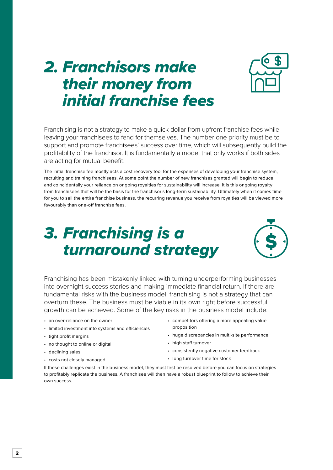# *2. Franchisors make their money from initial franchise fees*



Franchising is not a strategy to make a quick dollar from upfront franchise fees while leaving your franchisees to fend for themselves. The number one priority must be to support and promote franchisees' success over time, which will subsequently build the profitability of the franchisor. It is fundamentally a model that only works if both sides are acting for mutual benefit.

The initial franchise fee mostly acts a cost recovery tool for the expenses of developing your franchise system, recruiting and training franchisees. At some point the number of new franchises granted will begin to reduce and coincidentally your reliance on ongoing royalties for sustainability will increase. It is this ongoing royalty from franchisees that will be the basis for the franchisor's long-term sustainability. Ultimately when it comes time for you to sell the entire franchise business, the recurring revenue you receive from royalties will be viewed more favourably than one-off franchise fees.

# *3. Franchising is a turnaround strategy*



Franchising has been mistakenly linked with turning underperforming businesses into overnight success stories and making immediate financial return. If there are fundamental risks with the business model, franchising is not a strategy that can overturn these. The business must be viable in its own right before successful growth can be achieved. Some of the key risks in the business model include:

- an over-reliance on the owner
- limited investment into systems and efficiencies
- tight profit margins
- no thought to online or digital
- declining sales
- costs not closely managed
- competitors offering a more appealing value proposition
- huge discrepancies in multi-site performance
- high staff turnover
- consistently negative customer feedback
- long turnover time for stock

If these challenges exist in the business model, they must first be resolved before you can focus on strategies to profitably replicate the business. A franchisee will then have a robust blueprint to follow to achieve their own success.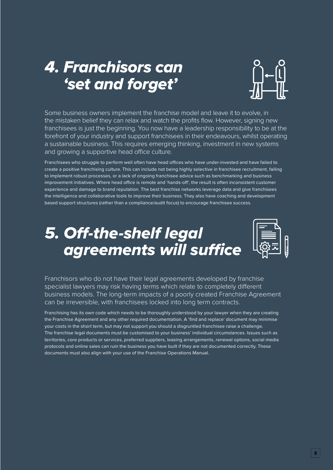# *4. Franchisors can 'set and forget'*



Some business owners implement the franchise model and leave it to evolve, in the mistaken belief they can relax and watch the profits flow. However, signing new franchisees is just the beginning. You now have a leadership responsibility to be at the forefront of your industry and support franchisees in their endeavours, whilst operating a sustainable business. This requires emerging thinking, investment in new systems and growing a supportive head office culture.

Franchisees who struggle to perform well often have head offices who have under-invested and have failed to create a positive franchising culture. This can include not being highly selective in franchisee recruitment, failing to implement robust processes, or a lack of ongoing franchisee advice such as benchmarking and business improvement initiatives. Where head office is remote and 'hands-off', the result is often inconsistent customer experience and damage to brand reputation. The best franchise networks leverage data and give franchisees the intelligence and collaborative tools to improve their business. They also have coaching and development based support structures (rather than a compliance/audit focus) to encourage franchisee success.

# *5. Off-the-shelf legal agreements will suffice*



Franchisors who do not have their legal agreements developed by franchise specialist lawyers may risk having terms which relate to completely different business models. The long-term impacts of a poorly created Franchise Agreement can be irreversible, with franchisees locked into long term contracts.

Franchising has its own code which needs to be thoroughly understood by your lawyer when they are creating the Franchise Agreement and any other required documentation. A 'find and replace' document may minimise your costs in the short term, but may not support you should a disgruntled franchisee raise a challenge. The franchise legal documents must be customised to your business' individual circumstances. Issues such as territories, core products or services, preferred suppliers, leasing arrangements, renewal options, social media protocols and online sales can ruin the business you have built if they are not documented correctly. These documents must also align with your use of the Franchise Operations Manual.